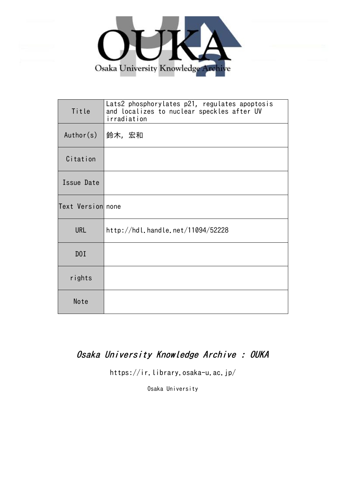

| Title             | Lats2 phosphorylates p21, regulates apoptosis<br>and localizes to nuclear speckles after UV<br>irradiation |
|-------------------|------------------------------------------------------------------------------------------------------------|
| Author(s)         | 鈴木,宏和                                                                                                      |
| Citation          |                                                                                                            |
| Issue Date        |                                                                                                            |
| Text Version none |                                                                                                            |
| <b>URL</b>        | http://hdl.handle.net/11094/52228                                                                          |
| DOI               |                                                                                                            |
| rights            |                                                                                                            |
| Note              |                                                                                                            |

## Osaka University Knowledge Archive : OUKA

https://ir.library.osaka-u.ac.jp/

Osaka University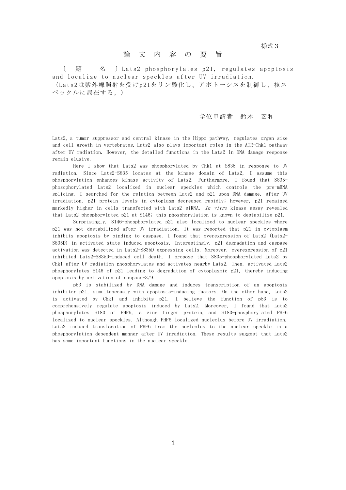**1. 我们的人们就会在这里的人们的人们,我们的人们就会**就是一个人的人们的人们,我们的人们都会不会不会。

## 論 文 内 容 の 要 旨

〔 題 名 〕 Lats2 phosphorylates p21, regulates apoptosis and localize to nuclear speckles after UV irradiation. (Lats2は紫外線照射を受けp21をリン酸化し、アポトーシスを制御し、核ス

ペックルに局在する。)

## 学位申請者 鈴木 宏和

Lats2, a tumor suppressor and central kinase in the Hippo pathway, regulates organ size and cell growth in vertebrates. Lats2 also plays important roles in the ATR-Chk1 pathway after UV radiation. However, the detailed functions in the Lats2 in DNA damage response remain elusive.

Here I show that Lats2 was phosphorylated by Chk1 at S835 in response to UV radiation. Since Lats2-S835 locates at the kinase domain of Lats2, I assume this phosphorylation enhances kinase activity of Lats2. Furthermore, I found that S835 phosophorylated Lats2 localized in nuclear speckles which controls the pre-mRNA splicing. I searched for the relation between Lats2 and p21 upon DNA damage. After UV irradiation, p21 protein levels in cytoplasm decreased rapidly; however, p21 remained markedly higher in cells transfected with Lats2 siRNA. In vitro kinase assay revealed that Lats2 phosphorylated p21 at S146; this phosphorylation is known to destabilize p21.

Surprisingly, S146-phosphorylated p21 also localized to nuclear speckles where p21 was not destabilized after UV irradiation. It was reported that p21 in cytoplasm inhibits apoptosis by binding to caspase. I found that overexpression of Lats2 (Lats2- S835D) in activated state induced apoptosis. Interestingly, p21 degradation and caspase activation was detected in Lats2-S835D expressing cells. Moreover, overexpression of p21 inhibited Lats2-S835D-induced cell death. I propose that S835-phosphorylated Lats2 by Chk1 after UV radiation phosphorylates and activates nearby Lats2. Then, activated Lats2 phosphorylates S146 of p21 leading to degradation of cytoplasmic p21, thereby inducing apoptosis by activation of caspase-3/9.

p53 is stabilized by DNA damage and induces transcription of an apoptosis inhibitor p21, simultaneously with apoptosis-inducing factors. On the other hand, Lats2 is activated by Chk1 and inhibits p21. I believe the function of p53 is to comprehensively regulate apoptosis induced by Lats2. Moreover, I found that Lats2 phosphorylates S183 of PHF6, a zinc finger protein, and S183-phosphorylated PHF6 localized to nuclear speckles. Although PHF6 localized nucleolus before UV irradiation, Lats2 induced translocation of PHF6 from the nucleolus to the nuclear speckle in a phosphorylation dependent manner after UV irradiation. These results suggest that Lats2 has some important functions in the nuclear speckle.